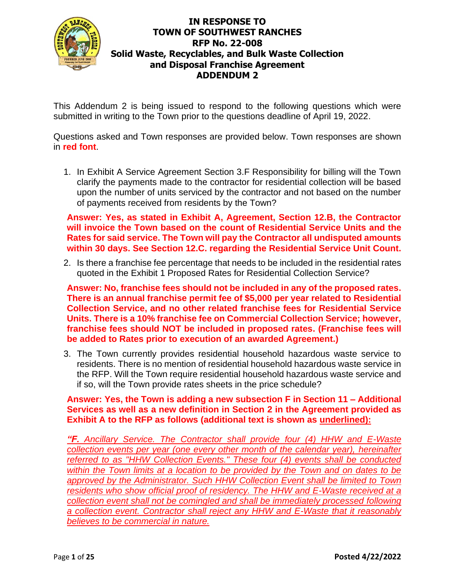

This Addendum 2 is being issued to respond to the following questions which were submitted in writing to the Town prior to the questions deadline of April 19, 2022.

Questions asked and Town responses are provided below. Town responses are shown in **red font**.

1. In Exhibit A Service Agreement Section 3.F Responsibility for billing will the Town clarify the payments made to the contractor for residential collection will be based upon the number of units serviced by the contractor and not based on the number of payments received from residents by the Town?

**Answer: Yes, as stated in Exhibit A, Agreement, Section 12.B, the Contractor will invoice the Town based on the count of Residential Service Units and the Rates for said service. The Town will pay the Contractor all undisputed amounts within 30 days. See Section 12.C. regarding the Residential Service Unit Count.** 

2. Is there a franchise fee percentage that needs to be included in the residential rates quoted in the Exhibit 1 Proposed Rates for Residential Collection Service?

**Answer: No, franchise fees should not be included in any of the proposed rates. There is an annual franchise permit fee of \$5,000 per year related to Residential Collection Service, and no other related franchise fees for Residential Service Units. There is a 10% franchise fee on Commercial Collection Service; however, franchise fees should NOT be included in proposed rates. (Franchise fees will be added to Rates prior to execution of an awarded Agreement.)**

3. The Town currently provides residential household hazardous waste service to residents. There is no mention of residential household hazardous waste service in the RFP. Will the Town require residential household hazardous waste service and if so, will the Town provide rates sheets in the price schedule?

**Answer: Yes, the Town is adding a new subsection F in Section 11 – Additional Services as well as a new definition in Section 2 in the Agreement provided as Exhibit A to the RFP as follows (additional text is shown as underlined):**

*"F. Ancillary Service. The Contractor shall provide four (4) HHW and E-Waste collection events per year (one every other month of the calendar year), hereinafter referred to as "HHW Collection Events." These four (4) events shall be conducted within the Town limits at a location to be provided by the Town and on dates to be approved by the Administrator. Such HHW Collection Event shall be limited to Town residents who show official proof of residency. The HHW and E-Waste received at a collection event shall not be comingled and shall be immediately processed following a collection event. Contractor shall reject any HHW and E-Waste that it reasonably believes to be commercial in nature.*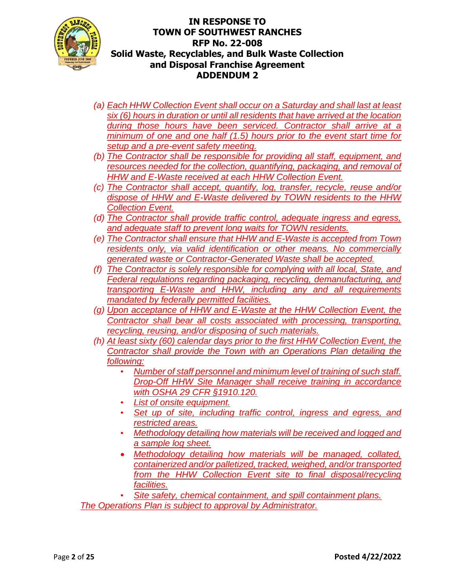

- *(a) Each HHW Collection Event shall occur on a Saturday and shall last at least six (6) hours in duration or until all residents that have arrived at the location during those hours have been serviced. Contractor shall arrive at a minimum of one and one half (1.5) hours prior to the event start time for setup and a pre-event safety meeting.*
- *(b) The Contractor shall be responsible for providing all staff, equipment, and resources needed for the collection, quantifying, packaging, and removal of HHW and E-Waste received at each HHW Collection Event.*
- *(c) The Contractor shall accept, quantify, log, transfer, recycle, reuse and/or dispose of HHW and E-Waste delivered by TOWN residents to the HHW Collection Event.*
- *(d) The Contractor shall provide traffic control, adequate ingress and egress, and adequate staff to prevent long waits for TOWN residents.*
- *(e) The Contractor shall ensure that HHW and E-Waste is accepted from Town residents only, via valid identification or other means. No commercially generated waste or Contractor-Generated Waste shall be accepted.*
- *(f) The Contractor is solely responsible for complying with all local, State, and Federal regulations regarding packaging, recycling, demanufacturing, and transporting E-Waste and HHW, including any and all requirements mandated by federally permitted facilities.*
- *(g) Upon acceptance of HHW and E-Waste at the HHW Collection Event, the Contractor shall bear all costs associated with processing, transporting, recycling, reusing, and/or disposing of such materials.*
- *(h) At least sixty (60) calendar days prior to the first HHW Collection Event, the Contractor shall provide the Town with an Operations Plan detailing the following:*
	- *Number of staff personnel and minimum level of training of such staff. Drop-Off HHW Site Manager shall receive training in accordance with OSHA 29 CFR §1910.120.*
	- *List of onsite equipment.*
	- *Set up of site, including traffic control, ingress and egress, and restricted areas.*
	- *Methodology detailing how materials will be received and logged and a sample log sheet.*
	- *Methodology detailing how materials will be managed, collated, containerized and/or palletized, tracked, weighed, and/or transported from the HHW Collection Event site to final disposal/recycling facilities.*

• *Site safety, chemical containment, and spill containment plans. The Operations Plan is subject to approval by Administrator.*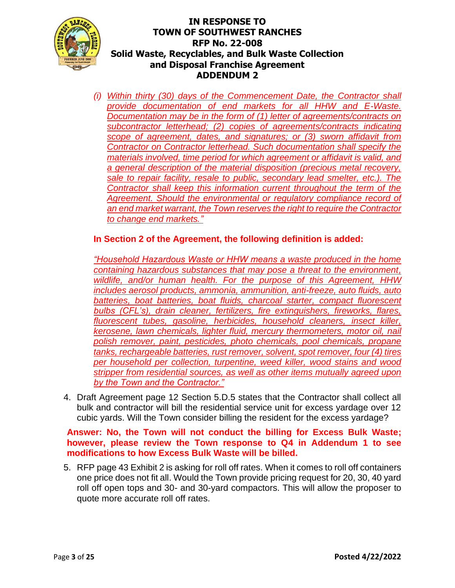

*(i) Within thirty (30) days of the Commencement Date, the Contractor shall provide documentation of end markets for all HHW and E-Waste. Documentation may be in the form of (1) letter of agreements/contracts on subcontractor letterhead; (2) copies of agreements/contracts indicating scope of agreement, dates, and signatures; or (3) sworn affidavit from Contractor on Contractor letterhead. Such documentation shall specify the materials involved, time period for which agreement or affidavit is valid, and a general description of the material disposition (precious metal recovery, sale to repair facility, resale to public, secondary lead smelter, etc.). The Contractor shall keep this information current throughout the term of the Agreement. Should the environmental or regulatory compliance record of an end market warrant, the Town reserves the right to require the Contractor to change end markets."*

## **In Section 2 of the Agreement, the following definition is added:**

*"Household Hazardous Waste or HHW means a waste produced in the home containing hazardous substances that may pose a threat to the environment, wildlife, and/or human health. For the purpose of this Agreement, HHW includes aerosol products, ammonia, ammunition, anti-freeze, auto fluids, auto batteries, boat batteries, boat fluids, charcoal starter, compact fluorescent bulbs (CFL's), drain cleaner, fertilizers, fire extinguishers, fireworks, flares, fluorescent tubes, gasoline, herbicides, household cleaners, insect killer, kerosene, lawn chemicals, lighter fluid, mercury thermometers, motor oil, nail polish remover, paint, pesticides, photo chemicals, pool chemicals, propane tanks, rechargeable batteries, rust remover, solvent, spot remover, four (4) tires per household per collection, turpentine, weed killer, wood stains and wood stripper from residential sources, as well as other items mutually agreed upon by the Town and the Contractor."* 

4. Draft Agreement page 12 Section 5.D.5 states that the Contractor shall collect all bulk and contractor will bill the residential service unit for excess yardage over 12 cubic yards. Will the Town consider billing the resident for the excess yardage?

#### **Answer: No, the Town will not conduct the billing for Excess Bulk Waste; however, please review the Town response to Q4 in Addendum 1 to see modifications to how Excess Bulk Waste will be billed.**

5. RFP page 43 Exhibit 2 is asking for roll off rates. When it comes to roll off containers one price does not fit all. Would the Town provide pricing request for 20, 30, 40 yard roll off open tops and 30- and 30-yard compactors. This will allow the proposer to quote more accurate roll off rates.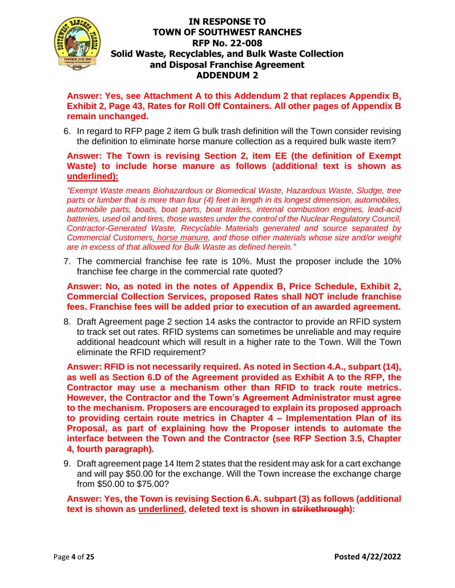

**Answer: Yes, see Attachment A to this Addendum 2 that replaces Appendix B, Exhibit 2, Page 43, Rates for Roll Off Containers. All other pages of Appendix B remain unchanged.**

6. In regard to RFP page 2 item G bulk trash definition will the Town consider revising the definition to eliminate horse manure collection as a required bulk waste item?

### **Answer: The Town is revising Section 2, item EE (the definition of Exempt Waste) to include horse manure as follows (additional text is shown as underlined):**

*"Exempt Waste means Biohazardous or Biomedical Waste, Hazardous Waste, Sludge, tree parts or lumber that is more than four (4) feet in length in its longest dimension, automobiles, automobile parts, boats, boat parts, boat trailers, internal combustion engines, lead-acid batteries, used oil and tires, those wastes under the control of the Nuclear Regulatory Council, Contractor-Generated Waste, Recyclable Materials generated and source separated by Commercial Customers, horse manure, and those other materials whose size and/or weight are in excess of that allowed for Bulk Waste as defined herein."*

7. The commercial franchise fee rate is 10%. Must the proposer include the 10% franchise fee charge in the commercial rate quoted?

#### **Answer: No, as noted in the notes of Appendix B, Price Schedule, Exhibit 2, Commercial Collection Services, proposed Rates shall NOT include franchise fees. Franchise fees will be added prior to execution of an awarded agreement.**

8. Draft Agreement page 2 section 14 asks the contractor to provide an RFID system to track set out rates. RFID systems can sometimes be unreliable and may require additional headcount which will result in a higher rate to the Town. Will the Town eliminate the RFID requirement?

**Answer: RFID is not necessarily required. As noted in Section 4.A., subpart (14), as well as Section 6.D of the Agreement provided as Exhibit A to the RFP, the Contractor may use a mechanism other than RFID to track route metrics. However, the Contractor and the Town's Agreement Administrator must agree to the mechanism. Proposers are encouraged to explain its proposed approach to providing certain route metrics in Chapter 4 – Implementation Plan of its Proposal, as part of explaining how the Proposer intends to automate the interface between the Town and the Contractor (see RFP Section 3.5, Chapter 4, fourth paragraph).** 

9. Draft agreement page 14 Item 2 states that the resident may ask for a cart exchange and will pay \$50.00 for the exchange. Will the Town increase the exchange charge from \$50.00 to \$75.00?

**Answer: Yes, the Town is revising Section 6.A. subpart (3) as follows (additional text is shown as underlined, deleted text is shown in strikethrough):**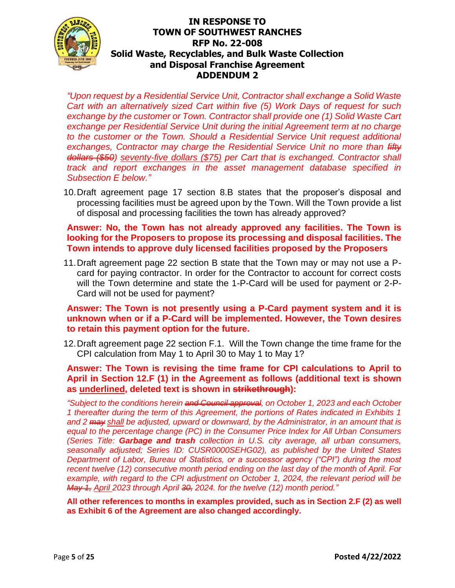

*"Upon request by a Residential Service Unit, Contractor shall exchange a Solid Waste Cart with an alternatively sized Cart within five (5) Work Days of request for such exchange by the customer or Town. Contractor shall provide one (1) Solid Waste Cart exchange per Residential Service Unit during the initial Agreement term at no charge to the customer or the Town. Should a Residential Service Unit request additional exchanges, Contractor may charge the Residential Service Unit no more than fifty dollars (\$50) seventy-five dollars (\$75) per Cart that is exchanged. Contractor shall track and report exchanges in the asset management database specified in Subsection E below."*

10.Draft agreement page 17 section 8.B states that the proposer's disposal and processing facilities must be agreed upon by the Town. Will the Town provide a list of disposal and processing facilities the town has already approved?

#### **Answer: No, the Town has not already approved any facilities. The Town is looking for the Proposers to propose its processing and disposal facilities. The Town intends to approve duly licensed facilities proposed by the Proposers**

11.Draft agreement page 22 section B state that the Town may or may not use a Pcard for paying contractor. In order for the Contractor to account for correct costs will the Town determine and state the 1-P-Card will be used for payment or 2-P-Card will not be used for payment?

#### **Answer: The Town is not presently using a P-Card payment system and it is unknown when or if a P-Card will be implemented. However, the Town desires to retain this payment option for the future.**

12.Draft agreement page 22 section F.1. Will the Town change the time frame for the CPI calculation from May 1 to April 30 to May 1 to May 1?

#### **Answer: The Town is revising the time frame for CPI calculations to April to April in Section 12.F (1) in the Agreement as follows (additional text is shown as underlined, deleted text is shown in strikethrough):**

*"Subject to the conditions herein and Council approval, on October 1, 2023 and each October 1 thereafter during the term of this Agreement, the portions of Rates indicated in Exhibits 1 and 2 may shall be adjusted, upward or downward, by the Administrator, in an amount that is equal to the percentage change (PC) in the Consumer Price Index for All Urban Consumers (Series Title: Garbage and trash collection in U.S. city average, all urban consumers, seasonally adjusted; Series ID: CUSR0000SEHG02), as published by the United States Department of Labor, Bureau of Statistics, or a successor agency ("CPI") during the most recent twelve (12) consecutive month period ending on the last day of the month of April. For example, with regard to the CPI adjustment on October 1, 2024, the relevant period will be May 1, April 2023 through April 30, 2024. for the twelve (12) month period."*

**All other references to months in examples provided, such as in Section 2.F (2) as well as Exhibit 6 of the Agreement are also changed accordingly.**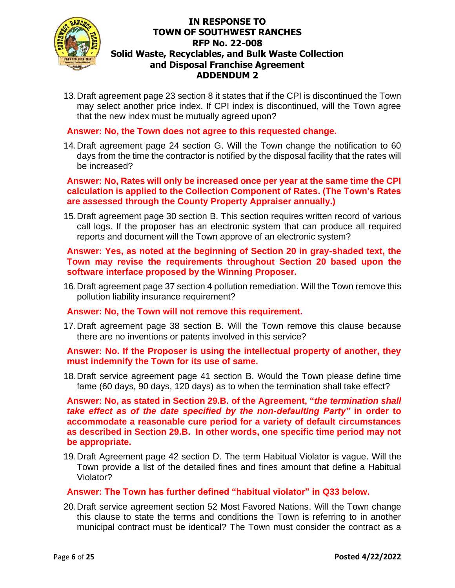

13.Draft agreement page 23 section 8 it states that if the CPI is discontinued the Town may select another price index. If CPI index is discontinued, will the Town agree that the new index must be mutually agreed upon?

**Answer: No, the Town does not agree to this requested change.** 

14.Draft agreement page 24 section G. Will the Town change the notification to 60 days from the time the contractor is notified by the disposal facility that the rates will be increased?

#### **Answer: No, Rates will only be increased once per year at the same time the CPI calculation is applied to the Collection Component of Rates. (The Town's Rates are assessed through the County Property Appraiser annually.)**

15.Draft agreement page 30 section B. This section requires written record of various call logs. If the proposer has an electronic system that can produce all required reports and document will the Town approve of an electronic system?

### **Answer: Yes, as noted at the beginning of Section 20 in gray-shaded text, the Town may revise the requirements throughout Section 20 based upon the software interface proposed by the Winning Proposer.**

16.Draft agreement page 37 section 4 pollution remediation. Will the Town remove this pollution liability insurance requirement?

**Answer: No, the Town will not remove this requirement.**

17.Draft agreement page 38 section B. Will the Town remove this clause because there are no inventions or patents involved in this service?

#### **Answer: No. If the Proposer is using the intellectual property of another, they must indemnify the Town for its use of same.**

18.Draft service agreement page 41 section B. Would the Town please define time fame (60 days, 90 days, 120 days) as to when the termination shall take effect?

**Answer: No, as stated in Section 29.B. of the Agreement, "***the termination shall take effect as of the date specified by the non-defaulting Party"* **in order to accommodate a reasonable cure period for a variety of default circumstances as described in Section 29.B. In other words, one specific time period may not be appropriate.** 

19.Draft Agreement page 42 section D. The term Habitual Violator is vague. Will the Town provide a list of the detailed fines and fines amount that define a Habitual Violator?

### **Answer: The Town has further defined "habitual violator" in Q33 below.**

20.Draft service agreement section 52 Most Favored Nations. Will the Town change this clause to state the terms and conditions the Town is referring to in another municipal contract must be identical? The Town must consider the contract as a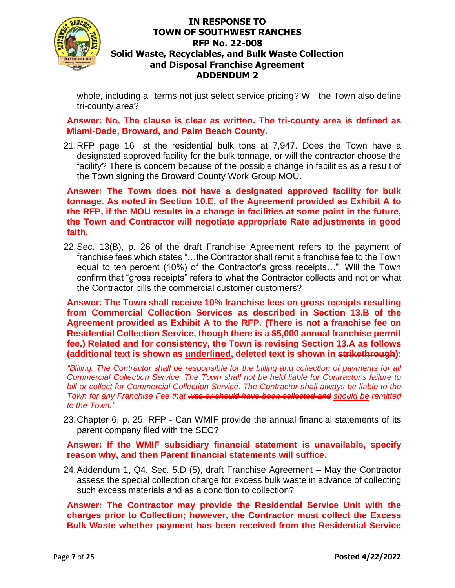

whole, including all terms not just select service pricing? Will the Town also define tri-county area?

**Answer: No. The clause is clear as written. The tri-county area is defined as Miami-Dade, Broward, and Palm Beach County.**

21.RFP page 16 list the residential bulk tons at 7,947. Does the Town have a designated approved facility for the bulk tonnage, or will the contractor choose the facility? There is concern because of the possible change in facilities as a result of the Town signing the Broward County Work Group MOU.

**Answer: The Town does not have a designated approved facility for bulk tonnage. As noted in Section 10.E. of the Agreement provided as Exhibit A to the RFP, if the MOU results in a change in facilities at some point in the future, the Town and Contractor will negotiate appropriate Rate adjustments in good faith.**

22.Sec. 13(B), p. 26 of the draft Franchise Agreement refers to the payment of franchise fees which states "…the Contractor shall remit a franchise fee to the Town equal to ten percent (10%) of the Contractor's gross receipts…". Will the Town confirm that "gross receipts" refers to what the Contractor collects and not on what the Contractor bills the commercial customer customers?

**Answer: The Town shall receive 10% franchise fees on gross receipts resulting from Commercial Collection Services as described in Section 13.B of the Agreement provided as Exhibit A to the RFP. (There is not a franchise fee on Residential Collection Service, though there is a \$5,000 annual franchise permit fee.) Related and for consistency, the Town is revising Section 13.A as follows (additional text is shown as underlined, deleted text is shown in strikethrough):**

*"Billing. The Contractor shall be responsible for the billing and collection of payments for all Commercial Collection Service. The Town shall not be held liable for Contractor's failure to bill or collect for Commercial Collection Service. The Contractor shall always be liable to the Town for any Franchise Fee that was or should have been collected and should be remitted to the Town."*

23.Chapter 6, p. 25, RFP - Can WMIF provide the annual financial statements of its parent company filed with the SEC?

**Answer: If the WMIF subsidiary financial statement is unavailable, specify reason why, and then Parent financial statements will suffice.**

24.Addendum 1, Q4, Sec. 5.D (5), draft Franchise Agreement – May the Contractor assess the special collection charge for excess bulk waste in advance of collecting such excess materials and as a condition to collection?

**Answer: The Contractor may provide the Residential Service Unit with the charges prior to Collection; however, the Contractor must collect the Excess Bulk Waste whether payment has been received from the Residential Service**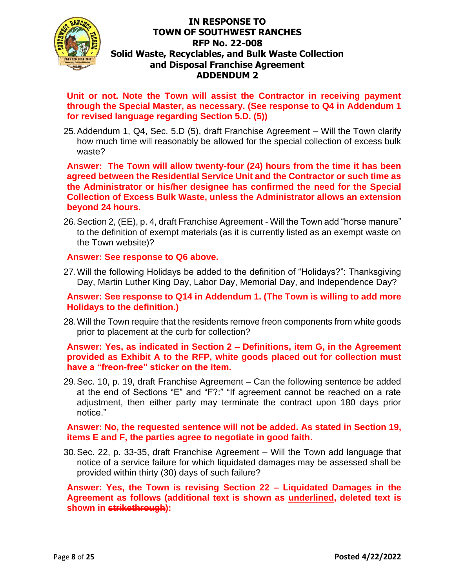

**Unit or not. Note the Town will assist the Contractor in receiving payment through the Special Master, as necessary. (See response to Q4 in Addendum 1 for revised language regarding Section 5.D. (5))**

25.Addendum 1, Q4, Sec. 5.D (5), draft Franchise Agreement – Will the Town clarify how much time will reasonably be allowed for the special collection of excess bulk waste?

**Answer: The Town will allow twenty-four (24) hours from the time it has been agreed between the Residential Service Unit and the Contractor or such time as the Administrator or his/her designee has confirmed the need for the Special Collection of Excess Bulk Waste, unless the Administrator allows an extension beyond 24 hours.** 

26.Section 2, (EE), p. 4, draft Franchise Agreement - Will the Town add "horse manure" to the definition of exempt materials (as it is currently listed as an exempt waste on the Town website)?

#### **Answer: See response to Q6 above.**

27.Will the following Holidays be added to the definition of "Holidays?": Thanksgiving Day, Martin Luther King Day, Labor Day, Memorial Day, and Independence Day?

**Answer: See response to Q14 in Addendum 1. (The Town is willing to add more Holidays to the definition.)** 

28.Will the Town require that the residents remove freon components from white goods prior to placement at the curb for collection?

**Answer: Yes, as indicated in Section 2 – Definitions, item G, in the Agreement provided as Exhibit A to the RFP, white goods placed out for collection must have a "freon-free" sticker on the item.** 

29.Sec. 10, p. 19, draft Franchise Agreement – Can the following sentence be added at the end of Sections "E" and "F?:" "If agreement cannot be reached on a rate adjustment, then either party may terminate the contract upon 180 days prior notice."

**Answer: No, the requested sentence will not be added. As stated in Section 19, items E and F, the parties agree to negotiate in good faith.** 

30.Sec. 22, p. 33-35, draft Franchise Agreement – Will the Town add language that notice of a service failure for which liquidated damages may be assessed shall be provided within thirty (30) days of such failure?

**Answer: Yes, the Town is revising Section 22 – Liquidated Damages in the Agreement as follows (additional text is shown as underlined, deleted text is shown in strikethrough):**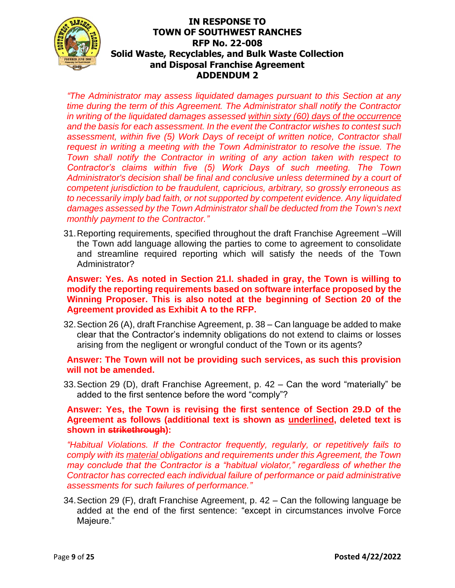

*"The Administrator may assess liquidated damages pursuant to this Section at any time during the term of this Agreement. The Administrator shall notify the Contractor in writing of the liquidated damages assessed within sixty (60) days of the occurrence and the basis for each assessment. In the event the Contractor wishes to contest such assessment, within five (5) Work Days of receipt of written notice, Contractor shall request in writing a meeting with the Town Administrator to resolve the issue. The Town shall notify the Contractor in writing of any action taken with respect to Contractor's claims within five (5) Work Days of such meeting. The Town Administrator's decision shall be final and conclusive unless determined by a court of competent jurisdiction to be fraudulent, capricious, arbitrary, so grossly erroneous as to necessarily imply bad faith, or not supported by competent evidence. Any liquidated damages assessed by the Town Administrator shall be deducted from the Town's next monthly payment to the Contractor."*

31.Reporting requirements, specified throughout the draft Franchise Agreement –Will the Town add language allowing the parties to come to agreement to consolidate and streamline required reporting which will satisfy the needs of the Town Administrator?

**Answer: Yes. As noted in Section 21.I. shaded in gray, the Town is willing to modify the reporting requirements based on software interface proposed by the Winning Proposer. This is also noted at the beginning of Section 20 of the Agreement provided as Exhibit A to the RFP.** 

32.Section 26 (A), draft Franchise Agreement, p. 38 – Can language be added to make clear that the Contractor's indemnity obligations do not extend to claims or losses arising from the negligent or wrongful conduct of the Town or its agents?

### **Answer: The Town will not be providing such services, as such this provision will not be amended.**

33.Section 29 (D), draft Franchise Agreement, p. 42 – Can the word "materially" be added to the first sentence before the word "comply"?

### **Answer: Yes, the Town is revising the first sentence of Section 29.D of the Agreement as follows (additional text is shown as underlined, deleted text is shown in strikethrough):**

*"Habitual Violations. If the Contractor frequently, regularly, or repetitively fails to comply with its material obligations and requirements under this Agreement, the Town may conclude that the Contractor is a "habitual violator," regardless of whether the Contractor has corrected each individual failure of performance or paid administrative assessments for such failures of performance."*

34.Section 29 (F), draft Franchise Agreement, p. 42 – Can the following language be added at the end of the first sentence: "except in circumstances involve Force Majeure."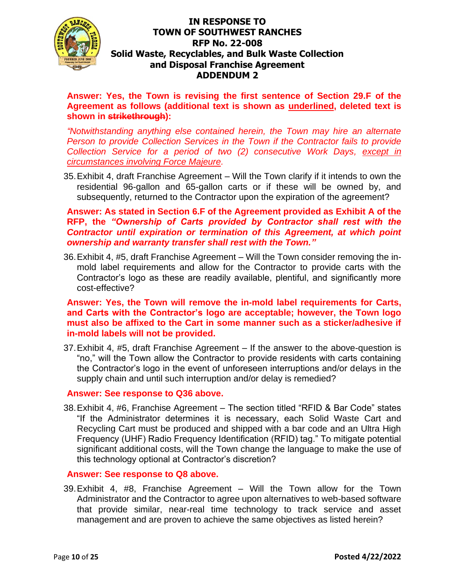

**Answer: Yes, the Town is revising the first sentence of Section 29.F of the Agreement as follows (additional text is shown as underlined, deleted text is shown in strikethrough):**

*"Notwithstanding anything else contained herein, the Town may hire an alternate Person to provide Collection Services in the Town if the Contractor fails to provide Collection Service for a period of two (2) consecutive Work Days, except in circumstances involving Force Majeure.*

35.Exhibit 4, draft Franchise Agreement – Will the Town clarify if it intends to own the residential 96-gallon and 65-gallon carts or if these will be owned by, and subsequently, returned to the Contractor upon the expiration of the agreement?

### **Answer: As stated in Section 6.F of the Agreement provided as Exhibit A of the RFP, the** *"Ownership of Carts provided by Contractor shall rest with the Contractor until expiration or termination of this Agreement, at which point ownership and warranty transfer shall rest with the Town."*

36.Exhibit 4, #5, draft Franchise Agreement – Will the Town consider removing the inmold label requirements and allow for the Contractor to provide carts with the Contractor's logo as these are readily available, plentiful, and significantly more cost-effective?

**Answer: Yes, the Town will remove the in-mold label requirements for Carts, and Carts with the Contractor's logo are acceptable; however, the Town logo must also be affixed to the Cart in some manner such as a sticker/adhesive if in-mold labels will not be provided.** 

37.Exhibit 4, #5, draft Franchise Agreement – If the answer to the above-question is "no," will the Town allow the Contractor to provide residents with carts containing the Contractor's logo in the event of unforeseen interruptions and/or delays in the supply chain and until such interruption and/or delay is remedied?

### **Answer: See response to Q36 above.**

38.Exhibit 4, #6, Franchise Agreement – The section titled "RFID & Bar Code" states "If the Administrator determines it is necessary, each Solid Waste Cart and Recycling Cart must be produced and shipped with a bar code and an Ultra High Frequency (UHF) Radio Frequency Identification (RFID) tag." To mitigate potential significant additional costs, will the Town change the language to make the use of this technology optional at Contractor's discretion?

#### **Answer: See response to Q8 above.**

39.Exhibit 4, #8, Franchise Agreement – Will the Town allow for the Town Administrator and the Contractor to agree upon alternatives to web-based software that provide similar, near-real time technology to track service and asset management and are proven to achieve the same objectives as listed herein?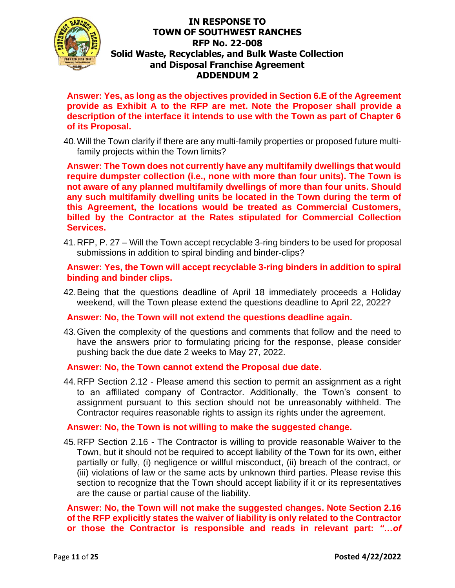

**Answer: Yes, as long as the objectives provided in Section 6.E of the Agreement provide as Exhibit A to the RFP are met. Note the Proposer shall provide a description of the interface it intends to use with the Town as part of Chapter 6 of its Proposal.** 

40.Will the Town clarify if there are any multi-family properties or proposed future multifamily projects within the Town limits?

**Answer: The Town does not currently have any multifamily dwellings that would require dumpster collection (i.e., none with more than four units). The Town is not aware of any planned multifamily dwellings of more than four units. Should any such multifamily dwelling units be located in the Town during the term of this Agreement, the locations would be treated as Commercial Customers, billed by the Contractor at the Rates stipulated for Commercial Collection Services.**

41.RFP, P. 27 – Will the Town accept recyclable 3-ring binders to be used for proposal submissions in addition to spiral binding and binder-clips?

**Answer: Yes, the Town will accept recyclable 3-ring binders in addition to spiral binding and binder clips.** 

42.Being that the questions deadline of April 18 immediately proceeds a Holiday weekend, will the Town please extend the questions deadline to April 22, 2022?

#### **Answer: No, the Town will not extend the questions deadline again.**

43.Given the complexity of the questions and comments that follow and the need to have the answers prior to formulating pricing for the response, please consider pushing back the due date 2 weeks to May 27, 2022.

#### **Answer: No, the Town cannot extend the Proposal due date.**

44.RFP Section 2.12 - Please amend this section to permit an assignment as a right to an affiliated company of Contractor. Additionally, the Town's consent to assignment pursuant to this section should not be unreasonably withheld. The Contractor requires reasonable rights to assign its rights under the agreement.

#### **Answer: No, the Town is not willing to make the suggested change.**

45.RFP Section 2.16 - The Contractor is willing to provide reasonable Waiver to the Town, but it should not be required to accept liability of the Town for its own, either partially or fully, (i) negligence or willful misconduct, (ii) breach of the contract, or (iii) violations of law or the same acts by unknown third parties. Please revise this section to recognize that the Town should accept liability if it or its representatives are the cause or partial cause of the liability.

**Answer: No, the Town will not make the suggested changes. Note Section 2.16 of the RFP explicitly states the waiver of liability is only related to the Contractor or those the Contractor is responsible and reads in relevant part:** *"…of*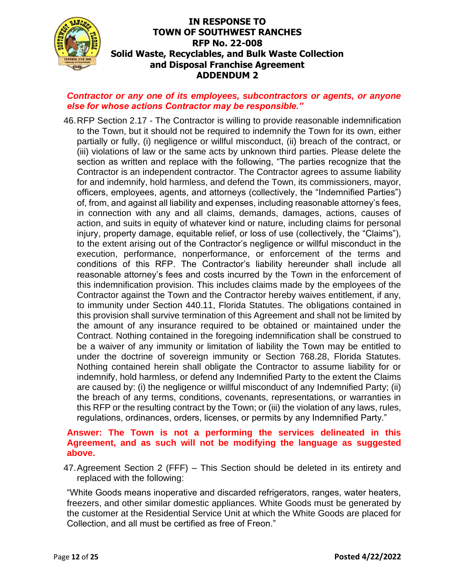

### *Contractor or any one of its employees, subcontractors or agents, or anyone else for whose actions Contractor may be responsible."*

46.RFP Section 2.17 - The Contractor is willing to provide reasonable indemnification to the Town, but it should not be required to indemnify the Town for its own, either partially or fully, (i) negligence or willful misconduct, (ii) breach of the contract, or (iii) violations of law or the same acts by unknown third parties. Please delete the section as written and replace with the following, "The parties recognize that the Contractor is an independent contractor. The Contractor agrees to assume liability for and indemnify, hold harmless, and defend the Town, its commissioners, mayor, officers, employees, agents, and attorneys (collectively, the "Indemnified Parties") of, from, and against all liability and expenses, including reasonable attorney's fees, in connection with any and all claims, demands, damages, actions, causes of action, and suits in equity of whatever kind or nature, including claims for personal injury, property damage, equitable relief, or loss of use (collectively, the "Claims"), to the extent arising out of the Contractor's negligence or willful misconduct in the execution, performance, nonperformance, or enforcement of the terms and conditions of this RFP. The Contractor's liability hereunder shall include all reasonable attorney's fees and costs incurred by the Town in the enforcement of this indemnification provision. This includes claims made by the employees of the Contractor against the Town and the Contractor hereby waives entitlement, if any, to immunity under Section 440.11, Florida Statutes. The obligations contained in this provision shall survive termination of this Agreement and shall not be limited by the amount of any insurance required to be obtained or maintained under the Contract. Nothing contained in the foregoing indemnification shall be construed to be a waiver of any immunity or limitation of liability the Town may be entitled to under the doctrine of sovereign immunity or Section 768.28, Florida Statutes. Nothing contained herein shall obligate the Contractor to assume liability for or indemnify, hold harmless, or defend any Indemnified Party to the extent the Claims are caused by: (i) the negligence or willful misconduct of any Indemnified Party; (ii) the breach of any terms, conditions, covenants, representations, or warranties in this RFP or the resulting contract by the Town; or (iii) the violation of any laws, rules, regulations, ordinances, orders, licenses, or permits by any Indemnified Party."

### **Answer: The Town is not a performing the services delineated in this Agreement, and as such will not be modifying the language as suggested above.**

47.Agreement Section 2 (FFF) – This Section should be deleted in its entirety and replaced with the following:

"White Goods means inoperative and discarded refrigerators, ranges, water heaters, freezers, and other similar domestic appliances. White Goods must be generated by the customer at the Residential Service Unit at which the White Goods are placed for Collection, and all must be certified as free of Freon."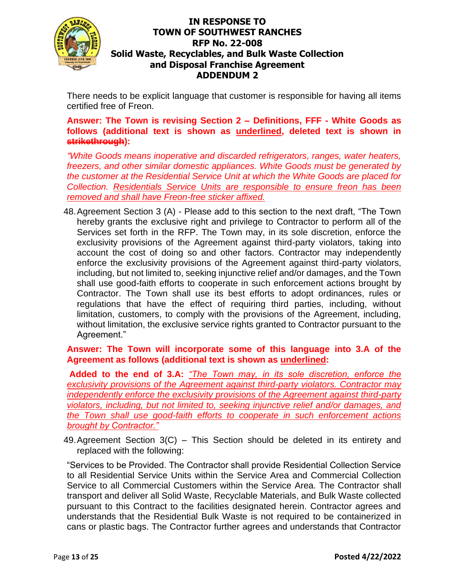

There needs to be explicit language that customer is responsible for having all items certified free of Freon.

**Answer: The Town is revising Section 2 – Definitions, FFF - White Goods as follows (additional text is shown as underlined, deleted text is shown in strikethrough):**

*"White Goods means inoperative and discarded refrigerators, ranges, water heaters, freezers, and other similar domestic appliances. White Goods must be generated by the customer at the Residential Service Unit at which the White Goods are placed for Collection. Residentials Service Units are responsible to ensure freon has been removed and shall have Freon-free sticker affixed.*

48.Agreement Section 3 (A) - Please add to this section to the next draft, "The Town hereby grants the exclusive right and privilege to Contractor to perform all of the Services set forth in the RFP. The Town may, in its sole discretion, enforce the exclusivity provisions of the Agreement against third-party violators, taking into account the cost of doing so and other factors. Contractor may independently enforce the exclusivity provisions of the Agreement against third-party violators, including, but not limited to, seeking injunctive relief and/or damages, and the Town shall use good-faith efforts to cooperate in such enforcement actions brought by Contractor. The Town shall use its best efforts to adopt ordinances, rules or regulations that have the effect of requiring third parties, including, without limitation, customers, to comply with the provisions of the Agreement, including, without limitation, the exclusive service rights granted to Contractor pursuant to the Agreement."

**Answer: The Town will incorporate some of this language into 3.A of the Agreement as follows (additional text is shown as underlined:** 

**Added to the end of 3.A:** *"The Town may, in its sole discretion, enforce the exclusivity provisions of the Agreement against third-party violators. Contractor may independently enforce the exclusivity provisions of the Agreement against third-party violators, including, but not limited to, seeking injunctive relief and/or damages, and the Town shall use good-faith efforts to cooperate in such enforcement actions brought by Contractor."*

49.Agreement Section 3(C) – This Section should be deleted in its entirety and replaced with the following:

"Services to be Provided. The Contractor shall provide Residential Collection Service to all Residential Service Units within the Service Area and Commercial Collection Service to all Commercial Customers within the Service Area. The Contractor shall transport and deliver all Solid Waste, Recyclable Materials, and Bulk Waste collected pursuant to this Contract to the facilities designated herein. Contractor agrees and understands that the Residential Bulk Waste is not required to be containerized in cans or plastic bags. The Contractor further agrees and understands that Contractor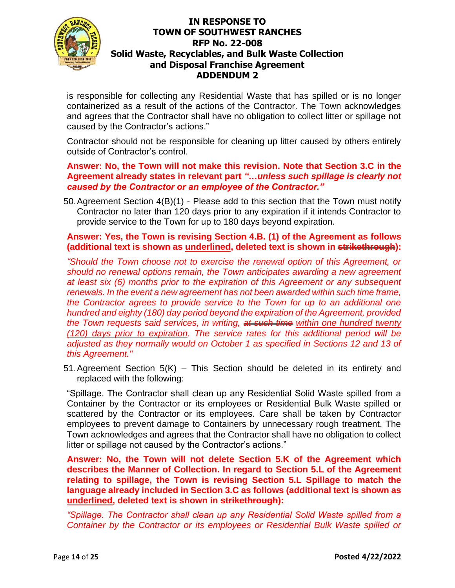

is responsible for collecting any Residential Waste that has spilled or is no longer containerized as a result of the actions of the Contractor. The Town acknowledges and agrees that the Contractor shall have no obligation to collect litter or spillage not caused by the Contractor's actions."

Contractor should not be responsible for cleaning up litter caused by others entirely outside of Contractor's control.

**Answer: No, the Town will not make this revision. Note that Section 3.C in the Agreement already states in relevant part** *"…unless such spillage is clearly not caused by the Contractor or an employee of the Contractor."*

50.Agreement Section 4(B)(1) - Please add to this section that the Town must notify Contractor no later than 120 days prior to any expiration if it intends Contractor to provide service to the Town for up to 180 days beyond expiration.

### **Answer: Yes, the Town is revising Section 4.B. (1) of the Agreement as follows (additional text is shown as underlined, deleted text is shown in strikethrough):**

*"Should the Town choose not to exercise the renewal option of this Agreement, or should no renewal options remain, the Town anticipates awarding a new agreement at least six (6) months prior to the expiration of this Agreement or any subsequent renewals. In the event a new agreement has not been awarded within such time frame, the Contractor agrees to provide service to the Town for up to an additional one hundred and eighty (180) day period beyond the expiration of the Agreement, provided the Town requests said services, in writing, at such time within one hundred twenty (120) days prior to expiration. The service rates for this additional period will be adjusted as they normally would on October 1 as specified in Sections 12 and 13 of this Agreement."*

51.Agreement Section 5(K) – This Section should be deleted in its entirety and replaced with the following:

"Spillage. The Contractor shall clean up any Residential Solid Waste spilled from a Container by the Contractor or its employees or Residential Bulk Waste spilled or scattered by the Contractor or its employees. Care shall be taken by Contractor employees to prevent damage to Containers by unnecessary rough treatment. The Town acknowledges and agrees that the Contractor shall have no obligation to collect litter or spillage not caused by the Contractor's actions."

**Answer: No, the Town will not delete Section 5.K of the Agreement which describes the Manner of Collection. In regard to Section 5.L of the Agreement relating to spillage, the Town is revising Section 5.L Spillage to match the language already included in Section 3.C as follows (additional text is shown as underlined, deleted text is shown in strikethrough):**

*"Spillage. The Contractor shall clean up any Residential Solid Waste spilled from a Container by the Contractor or its employees or Residential Bulk Waste spilled or*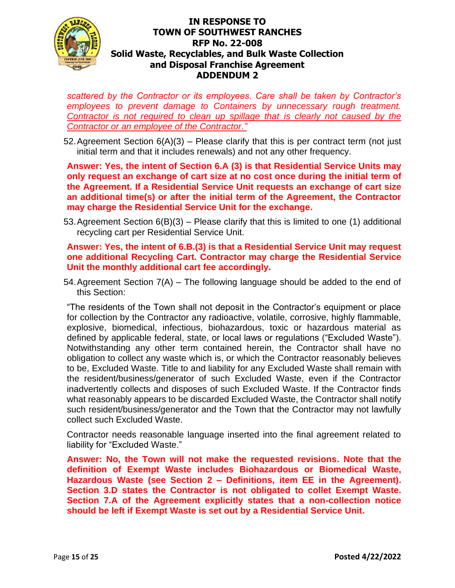

*scattered by the Contractor or its employees. Care shall be taken by Contractor's employees to prevent damage to Containers by unnecessary rough treatment. Contractor is not required to clean up spillage that is clearly not caused by the Contractor or an employee of the Contractor."*

52. Agreement Section  $6(A)(3)$  – Please clarify that this is per contract term (not just initial term and that it includes renewals) and not any other frequency.

**Answer: Yes, the intent of Section 6.A (3) is that Residential Service Units may only request an exchange of cart size at no cost once during the initial term of the Agreement. If a Residential Service Unit requests an exchange of cart size an additional time(s) or after the initial term of the Agreement, the Contractor may charge the Residential Service Unit for the exchange.** 

53.Agreement Section 6(B)(3) – Please clarify that this is limited to one (1) additional recycling cart per Residential Service Unit.

**Answer: Yes, the intent of 6.B.(3) is that a Residential Service Unit may request one additional Recycling Cart. Contractor may charge the Residential Service Unit the monthly additional cart fee accordingly.** 

54.Agreement Section 7(A) – The following language should be added to the end of this Section:

"The residents of the Town shall not deposit in the Contractor's equipment or place for collection by the Contractor any radioactive, volatile, corrosive, highly flammable, explosive, biomedical, infectious, biohazardous, toxic or hazardous material as defined by applicable federal, state, or local laws or regulations ("Excluded Waste"). Notwithstanding any other term contained herein, the Contractor shall have no obligation to collect any waste which is, or which the Contractor reasonably believes to be, Excluded Waste. Title to and liability for any Excluded Waste shall remain with the resident/business/generator of such Excluded Waste, even if the Contractor inadvertently collects and disposes of such Excluded Waste. If the Contractor finds what reasonably appears to be discarded Excluded Waste, the Contractor shall notify such resident/business/generator and the Town that the Contractor may not lawfully collect such Excluded Waste.

Contractor needs reasonable language inserted into the final agreement related to liability for "Excluded Waste."

**Answer: No, the Town will not make the requested revisions. Note that the definition of Exempt Waste includes Biohazardous or Biomedical Waste, Hazardous Waste (see Section 2 – Definitions, item EE in the Agreement). Section 3.D states the Contractor is not obligated to collet Exempt Waste. Section 7.A of the Agreement explicitly states that a non-collection notice should be left if Exempt Waste is set out by a Residential Service Unit.**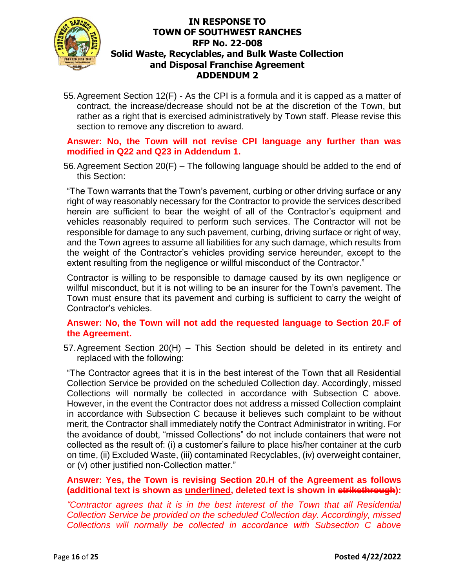

55.Agreement Section 12(F) - As the CPI is a formula and it is capped as a matter of contract, the increase/decrease should not be at the discretion of the Town, but rather as a right that is exercised administratively by Town staff. Please revise this section to remove any discretion to award.

### **Answer: No, the Town will not revise CPI language any further than was modified in Q22 and Q23 in Addendum 1.**

56.Agreement Section 20(F) – The following language should be added to the end of this Section:

"The Town warrants that the Town's pavement, curbing or other driving surface or any right of way reasonably necessary for the Contractor to provide the services described herein are sufficient to bear the weight of all of the Contractor's equipment and vehicles reasonably required to perform such services. The Contractor will not be responsible for damage to any such pavement, curbing, driving surface or right of way, and the Town agrees to assume all liabilities for any such damage, which results from the weight of the Contractor's vehicles providing service hereunder, except to the extent resulting from the negligence or willful misconduct of the Contractor."

Contractor is willing to be responsible to damage caused by its own negligence or willful misconduct, but it is not willing to be an insurer for the Town's pavement. The Town must ensure that its pavement and curbing is sufficient to carry the weight of Contractor's vehicles.

### **Answer: No, the Town will not add the requested language to Section 20.F of the Agreement.**

57.Agreement Section 20(H) – This Section should be deleted in its entirety and replaced with the following:

"The Contractor agrees that it is in the best interest of the Town that all Residential Collection Service be provided on the scheduled Collection day. Accordingly, missed Collections will normally be collected in accordance with Subsection C above. However, in the event the Contractor does not address a missed Collection complaint in accordance with Subsection C because it believes such complaint to be without merit, the Contractor shall immediately notify the Contract Administrator in writing. For the avoidance of doubt, "missed Collections" do not include containers that were not collected as the result of: (i) a customer's failure to place his/her container at the curb on time, (ii) Excluded Waste, (iii) contaminated Recyclables, (iv) overweight container, or (v) other justified non-Collection matter."

## **Answer: Yes, the Town is revising Section 20.H of the Agreement as follows (additional text is shown as underlined, deleted text is shown in strikethrough):**

*"Contractor agrees that it is in the best interest of the Town that all Residential Collection Service be provided on the scheduled Collection day. Accordingly, missed Collections will normally be collected in accordance with Subsection C above*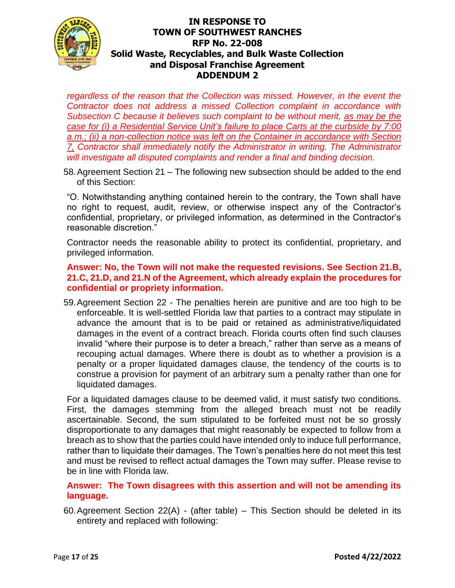

*regardless of the reason that the Collection was missed. However, in the event the Contractor does not address a missed Collection complaint in accordance with Subsection C because it believes such complaint to be without merit, as may be the case for (i) a Residential Service Unit's failure to place Carts at the curbside by 7:00 a.m.; (ii) a non-collection notice was left on the Container in accordance with Section 7, Contractor shall immediately notify the Administrator in writing. The Administrator will investigate all disputed complaints and render a final and binding decision.*

58.Agreement Section 21 – The following new subsection should be added to the end of this Section:

"O. Notwithstanding anything contained herein to the contrary, the Town shall have no right to request, audit, review, or otherwise inspect any of the Contractor's confidential, proprietary, or privileged information, as determined in the Contractor's reasonable discretion."

Contractor needs the reasonable ability to protect its confidential, proprietary, and privileged information.

#### **Answer: No, the Town will not make the requested revisions. See Section 21.B, 21.C, 21.D, and 21.N of the Agreement, which already explain the procedures for confidential or propriety information.**

59.Agreement Section 22 - The penalties herein are punitive and are too high to be enforceable. It is well-settled Florida law that parties to a contract may stipulate in advance the amount that is to be paid or retained as administrative/liquidated damages in the event of a contract breach. Florida courts often find such clauses invalid "where their purpose is to deter a breach," rather than serve as a means of recouping actual damages. Where there is doubt as to whether a provision is a penalty or a proper liquidated damages clause, the tendency of the courts is to construe a provision for payment of an arbitrary sum a penalty rather than one for liquidated damages.

For a liquidated damages clause to be deemed valid, it must satisfy two conditions. First, the damages stemming from the alleged breach must not be readily ascertainable. Second, the sum stipulated to be forfeited must not be so grossly disproportionate to any damages that might reasonably be expected to follow from a breach as to show that the parties could have intended only to induce full performance, rather than to liquidate their damages. The Town's penalties here do not meet this test and must be revised to reflect actual damages the Town may suffer. Please revise to be in line with Florida law.

### **Answer: The Town disagrees with this assertion and will not be amending its language.**

60.Agreement Section 22(A) - (after table) – This Section should be deleted in its entirety and replaced with following: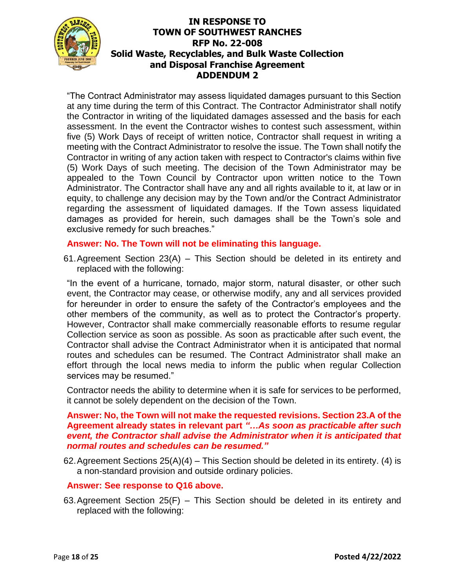

"The Contract Administrator may assess liquidated damages pursuant to this Section at any time during the term of this Contract. The Contractor Administrator shall notify the Contractor in writing of the liquidated damages assessed and the basis for each assessment. In the event the Contractor wishes to contest such assessment, within five (5) Work Days of receipt of written notice, Contractor shall request in writing a meeting with the Contract Administrator to resolve the issue. The Town shall notify the Contractor in writing of any action taken with respect to Contractor's claims within five (5) Work Days of such meeting. The decision of the Town Administrator may be appealed to the Town Council by Contractor upon written notice to the Town Administrator. The Contractor shall have any and all rights available to it, at law or in equity, to challenge any decision may by the Town and/or the Contract Administrator regarding the assessment of liquidated damages. If the Town assess liquidated damages as provided for herein, such damages shall be the Town's sole and exclusive remedy for such breaches."

### **Answer: No. The Town will not be eliminating this language.**

61.Agreement Section 23(A) – This Section should be deleted in its entirety and replaced with the following:

"In the event of a hurricane, tornado, major storm, natural disaster, or other such event, the Contractor may cease, or otherwise modify, any and all services provided for hereunder in order to ensure the safety of the Contractor's employees and the other members of the community, as well as to protect the Contractor's property. However, Contractor shall make commercially reasonable efforts to resume regular Collection service as soon as possible. As soon as practicable after such event, the Contractor shall advise the Contract Administrator when it is anticipated that normal routes and schedules can be resumed. The Contract Administrator shall make an effort through the local news media to inform the public when regular Collection services may be resumed."

Contractor needs the ability to determine when it is safe for services to be performed, it cannot be solely dependent on the decision of the Town.

#### **Answer: No, the Town will not make the requested revisions. Section 23.A of the Agreement already states in relevant part** *"…As soon as practicable after such event, the Contractor shall advise the Administrator when it is anticipated that normal routes and schedules can be resumed."*

62. Agreement Sections  $25(A)(4)$  – This Section should be deleted in its entirety. (4) is a non-standard provision and outside ordinary policies.

### **Answer: See response to Q16 above.**

63.Agreement Section 25(F) – This Section should be deleted in its entirety and replaced with the following: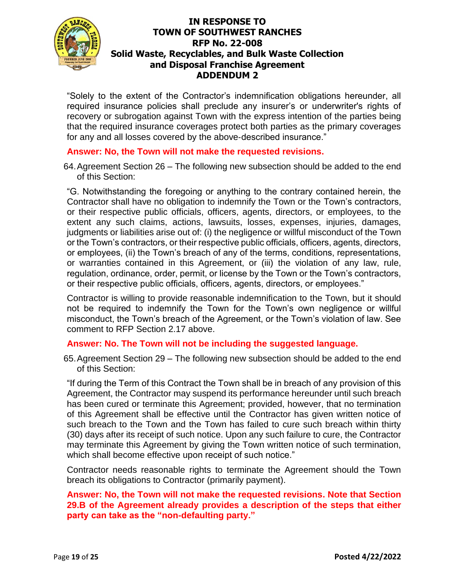

"Solely to the extent of the Contractor's indemnification obligations hereunder, all required insurance policies shall preclude any insurer's or underwriter's rights of recovery or subrogation against Town with the express intention of the parties being that the required insurance coverages protect both parties as the primary coverages for any and all losses covered by the above‐described insurance."

## **Answer: No, the Town will not make the requested revisions.**

64.Agreement Section 26 – The following new subsection should be added to the end of this Section:

"G. Notwithstanding the foregoing or anything to the contrary contained herein, the Contractor shall have no obligation to indemnify the Town or the Town's contractors, or their respective public officials, officers, agents, directors, or employees, to the extent any such claims, actions, lawsuits, losses, expenses, injuries, damages, judgments or liabilities arise out of: (i) the negligence or willful misconduct of the Town or the Town's contractors, or their respective public officials, officers, agents, directors, or employees, (ii) the Town's breach of any of the terms, conditions, representations, or warranties contained in this Agreement, or (iii) the violation of any law, rule, regulation, ordinance, order, permit, or license by the Town or the Town's contractors, or their respective public officials, officers, agents, directors, or employees."

Contractor is willing to provide reasonable indemnification to the Town, but it should not be required to indemnify the Town for the Town's own negligence or willful misconduct, the Town's breach of the Agreement, or the Town's violation of law. See comment to RFP Section 2.17 above.

### **Answer: No. The Town will not be including the suggested language.**

65.Agreement Section 29 – The following new subsection should be added to the end of this Section:

"If during the Term of this Contract the Town shall be in breach of any provision of this Agreement, the Contractor may suspend its performance hereunder until such breach has been cured or terminate this Agreement; provided, however, that no termination of this Agreement shall be effective until the Contractor has given written notice of such breach to the Town and the Town has failed to cure such breach within thirty (30) days after its receipt of such notice. Upon any such failure to cure, the Contractor may terminate this Agreement by giving the Town written notice of such termination, which shall become effective upon receipt of such notice."

Contractor needs reasonable rights to terminate the Agreement should the Town breach its obligations to Contractor (primarily payment).

### **Answer: No, the Town will not make the requested revisions. Note that Section 29.B of the Agreement already provides a description of the steps that either party can take as the "non-defaulting party."**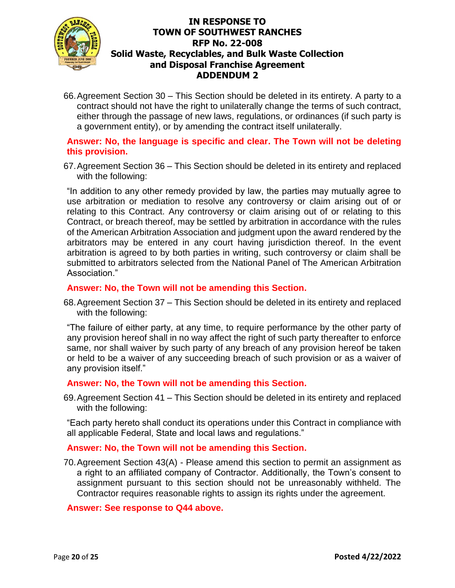

66.Agreement Section 30 – This Section should be deleted in its entirety. A party to a contract should not have the right to unilaterally change the terms of such contract, either through the passage of new laws, regulations, or ordinances (if such party is a government entity), or by amending the contract itself unilaterally.

## **Answer: No, the language is specific and clear. The Town will not be deleting this provision.**

67.Agreement Section 36 – This Section should be deleted in its entirety and replaced with the following:

"In addition to any other remedy provided by law, the parties may mutually agree to use arbitration or mediation to resolve any controversy or claim arising out of or relating to this Contract. Any controversy or claim arising out of or relating to this Contract, or breach thereof, may be settled by arbitration in accordance with the rules of the American Arbitration Association and judgment upon the award rendered by the arbitrators may be entered in any court having jurisdiction thereof. In the event arbitration is agreed to by both parties in writing, such controversy or claim shall be submitted to arbitrators selected from the National Panel of The American Arbitration Association."

### **Answer: No, the Town will not be amending this Section.**

68.Agreement Section 37 – This Section should be deleted in its entirety and replaced with the following:

"The failure of either party, at any time, to require performance by the other party of any provision hereof shall in no way affect the right of such party thereafter to enforce same, nor shall waiver by such party of any breach of any provision hereof be taken or held to be a waiver of any succeeding breach of such provision or as a waiver of any provision itself."

### **Answer: No, the Town will not be amending this Section.**

69.Agreement Section 41 – This Section should be deleted in its entirety and replaced with the following:

"Each party hereto shall conduct its operations under this Contract in compliance with all applicable Federal, State and local laws and regulations."

### **Answer: No, the Town will not be amending this Section.**

70.Agreement Section 43(A) - Please amend this section to permit an assignment as a right to an affiliated company of Contractor. Additionally, the Town's consent to assignment pursuant to this section should not be unreasonably withheld. The Contractor requires reasonable rights to assign its rights under the agreement.

### **Answer: See response to Q44 above.**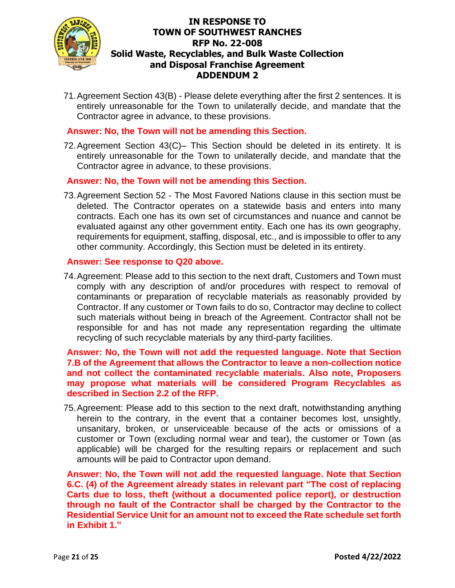

71.Agreement Section 43(B) - Please delete everything after the first 2 sentences. It is entirely unreasonable for the Town to unilaterally decide, and mandate that the Contractor agree in advance, to these provisions.

#### **Answer: No, the Town will not be amending this Section.**

72.Agreement Section 43(C)– This Section should be deleted in its entirety. It is entirely unreasonable for the Town to unilaterally decide, and mandate that the Contractor agree in advance, to these provisions.

#### **Answer: No, the Town will not be amending this Section.**

73.Agreement Section 52 - The Most Favored Nations clause in this section must be deleted. The Contractor operates on a statewide basis and enters into many contracts. Each one has its own set of circumstances and nuance and cannot be evaluated against any other government entity. Each one has its own geography, requirements for equipment, staffing, disposal, etc., and is impossible to offer to any other community. Accordingly, this Section must be deleted in its entirety.

#### **Answer: See response to Q20 above.**

74.Agreement: Please add to this section to the next draft, Customers and Town must comply with any description of and/or procedures with respect to removal of contaminants or preparation of recyclable materials as reasonably provided by Contractor. If any customer or Town fails to do so, Contractor may decline to collect such materials without being in breach of the Agreement. Contractor shall not be responsible for and has not made any representation regarding the ultimate recycling of such recyclable materials by any third-party facilities.

**Answer: No, the Town will not add the requested language. Note that Section 7.B of the Agreement that allows the Contractor to leave a non-collection notice and not collect the contaminated recyclable materials. Also note, Proposers may propose what materials will be considered Program Recyclables as described in Section 2.2 of the RFP.** 

75.Agreement: Please add to this section to the next draft, notwithstanding anything herein to the contrary, in the event that a container becomes lost, unsightly, unsanitary, broken, or unserviceable because of the acts or omissions of a customer or Town (excluding normal wear and tear), the customer or Town (as applicable) will be charged for the resulting repairs or replacement and such amounts will be paid to Contractor upon demand.

**Answer: No, the Town will not add the requested language. Note that Section 6.C. (4) of the Agreement already states in relevant part "The cost of replacing Carts due to loss, theft (without a documented police report), or destruction through no fault of the Contractor shall be charged by the Contractor to the Residential Service Unit for an amount not to exceed the Rate schedule set forth in Exhibit 1."**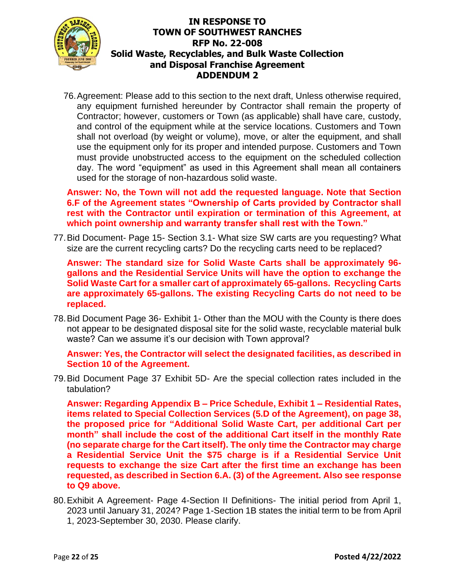

76.Agreement: Please add to this section to the next draft, Unless otherwise required, any equipment furnished hereunder by Contractor shall remain the property of Contractor; however, customers or Town (as applicable) shall have care, custody, and control of the equipment while at the service locations. Customers and Town shall not overload (by weight or volume), move, or alter the equipment, and shall use the equipment only for its proper and intended purpose. Customers and Town must provide unobstructed access to the equipment on the scheduled collection day. The word "equipment" as used in this Agreement shall mean all containers used for the storage of non-hazardous solid waste.

**Answer: No, the Town will not add the requested language. Note that Section 6.F of the Agreement states "Ownership of Carts provided by Contractor shall rest with the Contractor until expiration or termination of this Agreement, at which point ownership and warranty transfer shall rest with the Town."**

77.Bid Document- Page 15- Section 3.1- What size SW carts are you requesting? What size are the current recycling carts? Do the recycling carts need to be replaced?

**Answer: The standard size for Solid Waste Carts shall be approximately 96 gallons and the Residential Service Units will have the option to exchange the Solid Waste Cart for a smaller cart of approximately 65-gallons. Recycling Carts are approximately 65-gallons. The existing Recycling Carts do not need to be replaced.** 

78.Bid Document Page 36- Exhibit 1- Other than the MOU with the County is there does not appear to be designated disposal site for the solid waste, recyclable material bulk waste? Can we assume it's our decision with Town approval?

**Answer: Yes, the Contractor will select the designated facilities, as described in Section 10 of the Agreement.** 

79.Bid Document Page 37 Exhibit 5D- Are the special collection rates included in the tabulation?

**Answer: Regarding Appendix B – Price Schedule, Exhibit 1 – Residential Rates, items related to Special Collection Services (5.D of the Agreement), on page 38, the proposed price for "Additional Solid Waste Cart, per additional Cart per month" shall include the cost of the additional Cart itself in the monthly Rate (no separate charge for the Cart itself). The only time the Contractor may charge a Residential Service Unit the \$75 charge is if a Residential Service Unit requests to exchange the size Cart after the first time an exchange has been requested, as described in Section 6.A. (3) of the Agreement. Also see response to Q9 above.** 

80.Exhibit A Agreement- Page 4-Section II Definitions- The initial period from April 1, 2023 until January 31, 2024? Page 1-Section 1B states the initial term to be from April 1, 2023-September 30, 2030. Please clarify.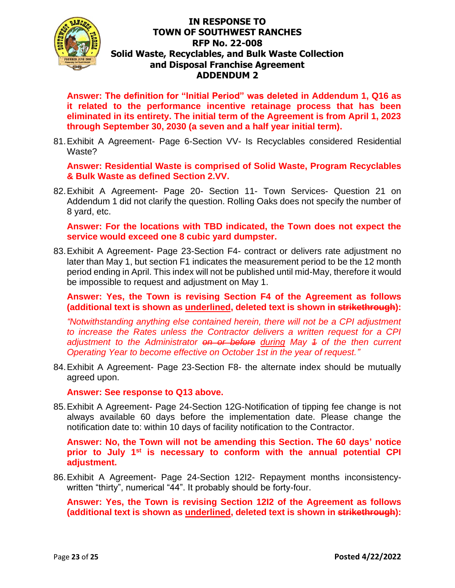

**Answer: The definition for "Initial Period" was deleted in Addendum 1, Q16 as it related to the performance incentive retainage process that has been eliminated in its entirety. The initial term of the Agreement is from April 1, 2023 through September 30, 2030 (a seven and a half year initial term).** 

81.Exhibit A Agreement- Page 6-Section VV- Is Recyclables considered Residential Waste?

**Answer: Residential Waste is comprised of Solid Waste, Program Recyclables & Bulk Waste as defined Section 2.VV.**

82.Exhibit A Agreement- Page 20- Section 11- Town Services- Question 21 on Addendum 1 did not clarify the question. Rolling Oaks does not specify the number of 8 yard, etc.

**Answer: For the locations with TBD indicated, the Town does not expect the service would exceed one 8 cubic yard dumpster.**

83.Exhibit A Agreement- Page 23-Section F4- contract or delivers rate adjustment no later than May 1, but section F1 indicates the measurement period to be the 12 month period ending in April. This index will not be published until mid-May, therefore it would be impossible to request and adjustment on May 1.

**Answer: Yes, the Town is revising Section F4 of the Agreement as follows (additional text is shown as underlined, deleted text is shown in strikethrough):**

*"Notwithstanding anything else contained herein, there will not be a CPI adjustment to increase the Rates unless the Contractor delivers a written request for a CPI adjustment to the Administrator <del>on or before</del> during May 4 of the then current Operating Year to become effective on October 1st in the year of request."*

84.Exhibit A Agreement- Page 23-Section F8- the alternate index should be mutually agreed upon.

**Answer: See response to Q13 above.** 

85.Exhibit A Agreement- Page 24-Section 12G-Notification of tipping fee change is not always available 60 days before the implementation date. Please change the notification date to: within 10 days of facility notification to the Contractor.

**Answer: No, the Town will not be amending this Section. The 60 days' notice prior to July 1st is necessary to conform with the annual potential CPI adjustment.** 

86.Exhibit A Agreement- Page 24-Section 12I2- Repayment months inconsistencywritten "thirty", numerical "44". It probably should be forty-four.

**Answer: Yes, the Town is revising Section 12I2 of the Agreement as follows (additional text is shown as underlined, deleted text is shown in strikethrough):**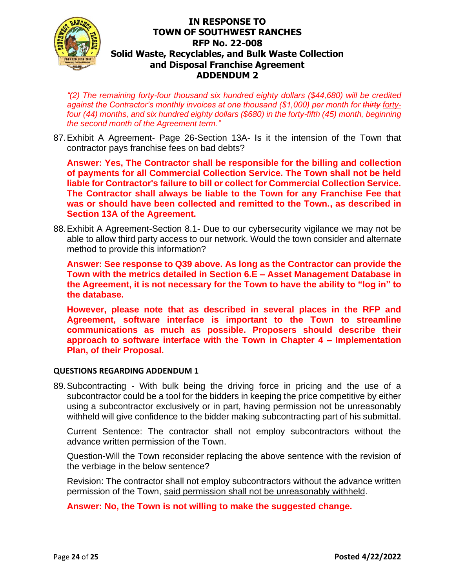

*"(2) The remaining forty-four thousand six hundred eighty dollars (\$44,680) will be credited against the Contractor's monthly invoices at one thousand (\$1,000) per month for thirty fortyfour (44) months, and six hundred eighty dollars (\$680) in the forty-fifth (45) month, beginning the second month of the Agreement term."*

87.Exhibit A Agreement- Page 26-Section 13A- Is it the intension of the Town that contractor pays franchise fees on bad debts?

**Answer: Yes, The Contractor shall be responsible for the billing and collection of payments for all Commercial Collection Service. The Town shall not be held liable for Contractor's failure to bill or collect for Commercial Collection Service. The Contractor shall always be liable to the Town for any Franchise Fee that was or should have been collected and remitted to the Town., as described in Section 13A of the Agreement.**

88.Exhibit A Agreement-Section 8.1- Due to our cybersecurity vigilance we may not be able to allow third party access to our network. Would the town consider and alternate method to provide this information?

**Answer: See response to Q39 above. As long as the Contractor can provide the Town with the metrics detailed in Section 6.E – Asset Management Database in the Agreement, it is not necessary for the Town to have the ability to "log in" to the database.** 

**However, please note that as described in several places in the RFP and Agreement, software interface is important to the Town to streamline communications as much as possible. Proposers should describe their approach to software interface with the Town in Chapter 4 – Implementation Plan, of their Proposal.** 

#### **QUESTIONS REGARDING ADDENDUM 1**

89.Subcontracting - With bulk being the driving force in pricing and the use of a subcontractor could be a tool for the bidders in keeping the price competitive by either using a subcontractor exclusively or in part, having permission not be unreasonably withheld will give confidence to the bidder making subcontracting part of his submittal.

Current Sentence: The contractor shall not employ subcontractors without the advance written permission of the Town.

Question-Will the Town reconsider replacing the above sentence with the revision of the verbiage in the below sentence?

Revision: The contractor shall not employ subcontractors without the advance written permission of the Town, said permission shall not be unreasonably withheld.

**Answer: No, the Town is not willing to make the suggested change.**